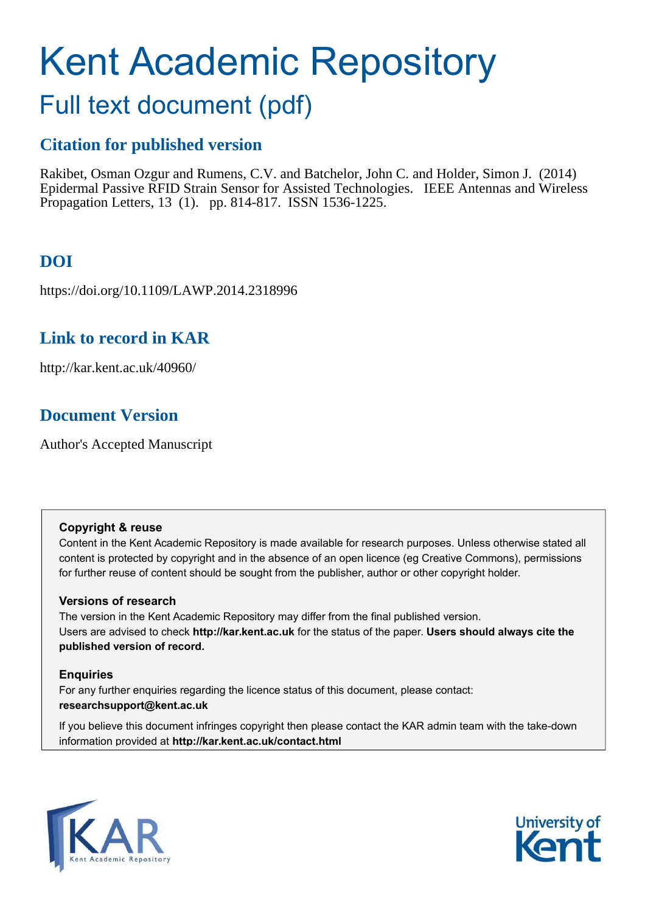# Kent Academic Repository

# Full text document (pdf)

### **Citation for published version**

Rakibet, Osman Ozgur and Rumens, C.V. and Batchelor, John C. and Holder, Simon J. (2014) Epidermal Passive RFID Strain Sensor for Assisted Technologies. IEEE Antennas and Wireless Propagation Letters, 13 (1). pp. 814-817. ISSN 1536-1225.

# **DOI**

https://doi.org/10.1109/LAWP.2014.2318996

### **Link to record in KAR**

http://kar.kent.ac.uk/40960/

## **Document Version**

Author's Accepted Manuscript

### **Copyright & reuse**

Content in the Kent Academic Repository is made available for research purposes. Unless otherwise stated all content is protected by copyright and in the absence of an open licence (eg Creative Commons), permissions for further reuse of content should be sought from the publisher, author or other copyright holder.

### **Versions of research**

The version in the Kent Academic Repository may differ from the final published version. Users are advised to check **http://kar.kent.ac.uk** for the status of the paper. **Users should always cite the published version of record.**

### **Enquiries**

For any further enquiries regarding the licence status of this document, please contact: **researchsupport@kent.ac.uk**

If you believe this document infringes copyright then please contact the KAR admin team with the take-down information provided at **http://kar.kent.ac.uk/contact.html**



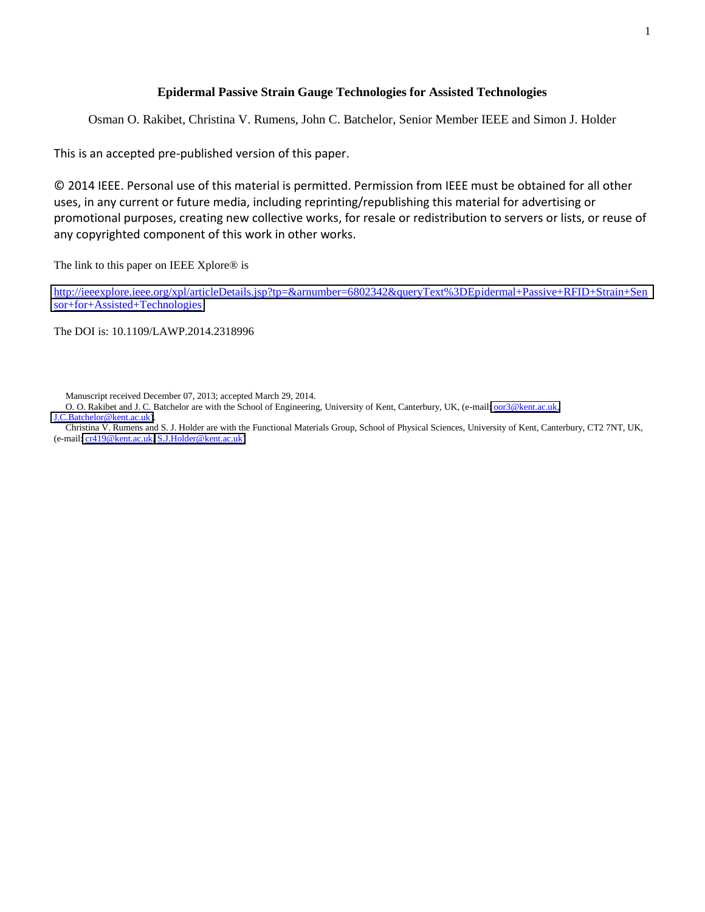### **Epidermal Passive Strain Gauge Technologies for Assisted Technologies**

Osman O. Rakibet, Christina V. Rumens, John C. Batchelor, Senior Member IEEE and Simon J. Holder

This is an accepted pre-published version of this paper.

© 2014 IEEE. Personal use of this material is permitted. Permission from IEEE must be obtained for all other uses, in any current or future media, including reprinting/republishing this material for advertising or promotional purposes, creating new collective works, for resale or redistribution to servers or lists, or reuse of any copyrighted component of this work in other works.

The link to this paper on IEEE Xplore® is

[http://ieeexplore.ieee.org/xpl/articleDetails.jsp?tp=&arnumber=6802342&queryText%3DEpidermal+Passive+RFID+Strain+Sen](http://ieeexplore.ieee.org/xpl/articleDetails.jsp?tp=&arnumber=6802342&queryText%3DEpidermal+Passive+RFID+Strain+Sensor+for+Assisted+Technologies) [sor+for+Assisted+Technologies](http://ieeexplore.ieee.org/xpl/articleDetails.jsp?tp=&arnumber=6802342&queryText%3DEpidermal+Passive+RFID+Strain+Sensor+for+Assisted+Technologies)

The DOI is: 10.1109/LAWP.2014.2318996

Manuscript received December 07, 2013; accepted March 29, 2014.

O. O. Rakibet and J. C. Batchelor are with the School of Engineering, University of Kent, Canterbury, UK, (e-mail: <u>oor3@kent.ac.uk</u>, [J.C.Batchelor@kent.ac.uk\)](mailto:J.C.Batchelor@kent.ac.uk).

Christina V. Rumens and S. J. Holder are with the Functional Materials Group, School of Physical Sciences, University of Kent, Canterbury, CT2 7NT, UK, (e-mail[: cr419@kent.ac.uk,](mailto:cr419@kent.ac.uk) [S.J.Holder@kent.ac.uk\)](mailto:S.J.Holder@kent.ac.uk)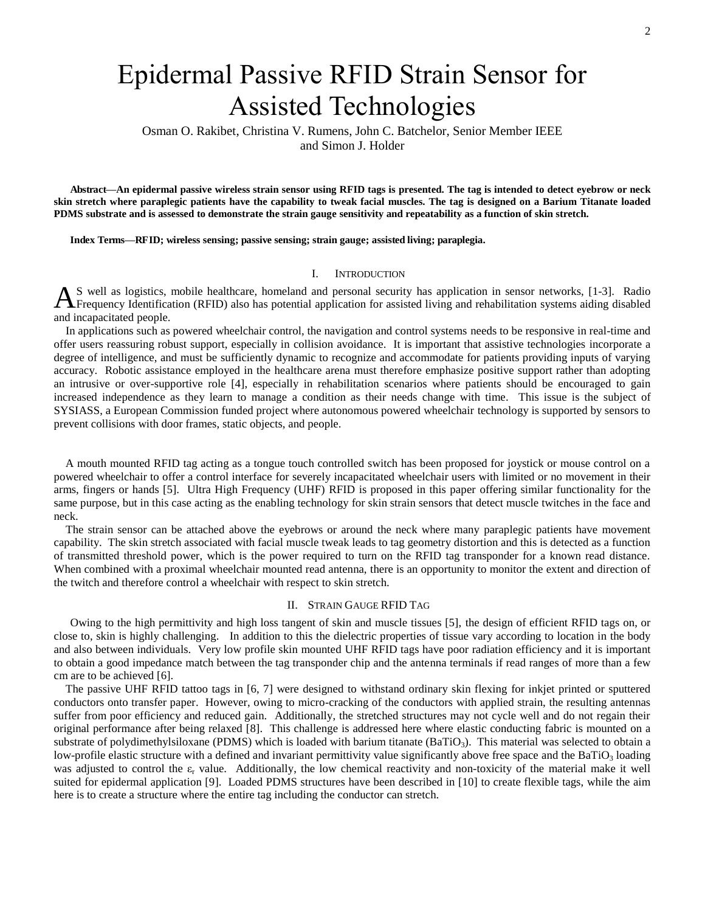# Epidermal Passive RFID Strain Sensor for Assisted Technologies

Osman O. Rakibet, Christina V. Rumens, John C. Batchelor, Senior Member IEEE and Simon J. Holder

**Abstract—An epidermal passive wireless strain sensor using RFID tags is presented. The tag is intended to detect eyebrow or neck skin stretch where paraplegic patients have the capability to tweak facial muscles. The tag is designed on a Barium Titanate loaded PDMS substrate and is assessed to demonstrate the strain gauge sensitivity and repeatability as a function of skin stretch.** 

**Index Terms***—***RFID; wireless sensing; passive sensing; strain gauge; assisted living; paraplegia.** 

### I. INTRODUCTION

S well as logistics, mobile healthcare, homeland and personal security has application in sensor networks, [1-3]. Radio AS well as logistics, mobile healthcare, homeland and personal security has application in sensor networks, [1-3]. Radio Frequency Identification (RFID) also has potential application for assisted living and rehabilitation and incapacitated people.

In applications such as powered wheelchair control, the navigation and control systems needs to be responsive in real-time and offer users reassuring robust support, especially in collision avoidance. It is important that assistive technologies incorporate a degree of intelligence, and must be sufficiently dynamic to recognize and accommodate for patients providing inputs of varying accuracy. Robotic assistance employed in the healthcare arena must therefore emphasize positive support rather than adopting an intrusive or over-supportive role [4], especially in rehabilitation scenarios where patients should be encouraged to gain increased independence as they learn to manage a condition as their needs change with time. This issue is the subject of SYSIASS, a European Commission funded project where autonomous powered wheelchair technology is supported by sensors to prevent collisions with door frames, static objects, and people.

<span id="page-2-0"></span>A mouth mounted RFID tag acting as a tongue touch controlled switch has been proposed for joystick or mouse control on a powered wheelchair to offer a control interface for severely incapacitated wheelchair users with limited or no movement in their arms, fingers or hands [5]. Ultra High Frequency (UHF) RFID is proposed in this paper offering similar functionality for the same purpose, but in this case acting as the enabling technology for skin strain sensors that detect muscle twitches in the face and neck.

The strain sensor can be attached above the eyebrows or around the neck where many paraplegic patients have movement capability. The skin stretch associated with facial muscle tweak leads to tag geometry distortion and this is detected as a function of transmitted threshold power, which is the power required to turn on the RFID tag transponder for a known read distance. When combined with a proximal wheelchair mounted read antenna, there is an opportunity to monitor the extent and direction of the twitch and therefore control a wheelchair with respect to skin stretch.

### II. STRAIN GAUGE RFID TAG

Owing to the high permittivity and high loss tangent of skin and muscle tissues [5], the design of efficient RFID tags on, or close to, skin is highly challenging. In addition to this the dielectric properties of tissue vary according to location in the body and also between individuals. Very low profile skin mounted UHF RFID tags have poor radiation efficiency and it is important to obtain a good impedance match between the tag transponder chip and the antenna terminals if read ranges of more than a few cm are to be achieved [6].

The passive UHF RFID tattoo tags in [6, 7] were designed to withstand ordinary skin flexing for inkjet printed or sputtered conductors onto transfer paper. However, owing to micro-cracking of the conductors with applied strain, the resulting antennas suffer from poor efficiency and reduced gain. Additionally, the stretched structures may not cycle well and do not regain their original performance after being relaxed [8]. This challenge is addressed here where elastic conducting fabric is mounted on a substrate of polydimethylsiloxane (PDMS) which is loaded with barium titanate ( $BaTiO<sub>3</sub>$ ). This material was selected to obtain a low-profile elastic structure with a defined and invariant permittivity value significantly above free space and the BaTiO<sub>3</sub> loading was adjusted to control the  $\varepsilon_r$  value. Additionally, the low chemical reactivity and non-toxicity of the material make it well suited for epidermal application [9]. Loaded PDMS structures have been described in [10] to create flexible tags, while the aim here is to create a structure where the entire tag including the conductor can stretch.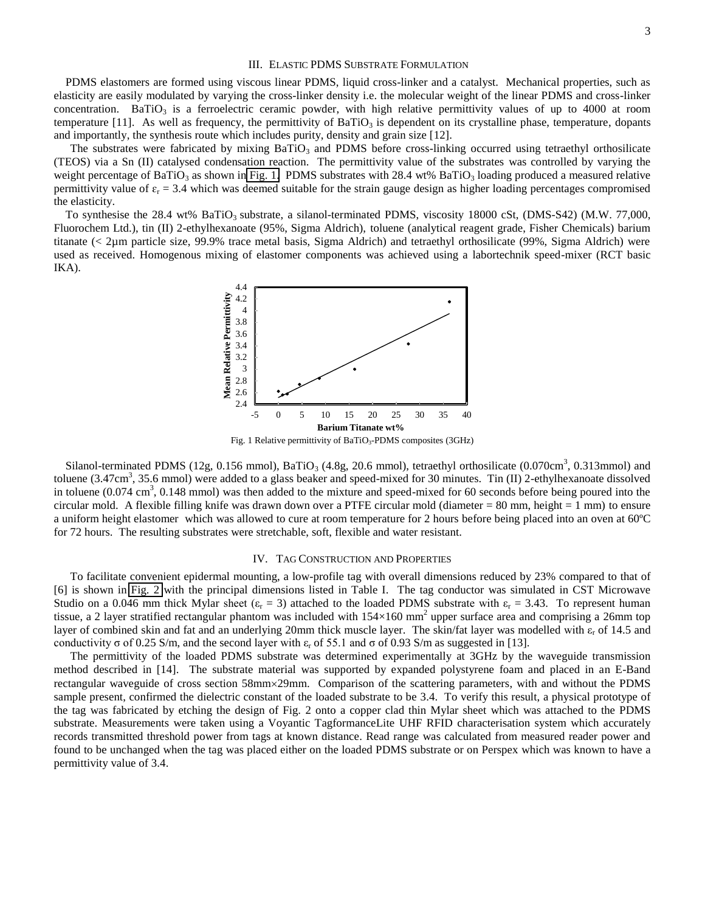### III. ELASTIC PDMS SUBSTRATE FORMULATION

PDMS elastomers are formed using viscous linear PDMS, liquid cross-linker and a catalyst. Mechanical properties, such as elasticity are easily modulated by varying the cross-linker density i.e. the molecular weight of the linear PDMS and cross-linker concentration. BaTiO<sub>3</sub> is a ferroelectric ceramic powder, with high relative permittivity values of up to 4000 at room temperature [11]. As well as frequency, the permittivity of BaTiO<sub>3</sub> is dependent on its crystalline phase, temperature, dopants and importantly, the synthesis route which includes purity, density and grain size [12].

The substrates were fabricated by mixing  $BaTiO<sub>3</sub>$  and PDMS before cross-linking occurred using tetraethyl orthosilicate (TEOS) via a Sn (II) catalysed condensation reaction. The permittivity value of the substrates was controlled by varying the weight percentage of BaTiO<sub>3</sub> as shown in [Fig. 1.](#page-2-0) PDMS substrates with 28.4 wt% BaTiO<sub>3</sub> loading produced a measured relative permittivity value of  $\varepsilon_r$  = 3.4 which was deemed suitable for the strain gauge design as higher loading percentages compromised the elasticity.

<span id="page-3-0"></span>To synthesise the 28.4 wt% BaTiO<sub>3</sub> substrate, a silanol-terminated PDMS, viscosity 18000 cSt, (DMS-S42) (M.W. 77,000, Fluorochem Ltd.), tin (II) 2-ethylhexanoate (95%, Sigma Aldrich), toluene (analytical reagent grade, Fisher Chemicals) barium titanate (< 2µm particle size, 99.9% trace metal basis, Sigma Aldrich) and tetraethyl orthosilicate (99%, Sigma Aldrich) were used as received. Homogenous mixing of elastomer components was achieved using a labortechnik speed-mixer (RCT basic IKA).



Fig. 1 Relative permittivity of BaTiO<sub>3</sub>-PDMS composites  $(3GHz)$ 

Silanol-terminated PDMS (12g, 0.156 mmol), BaTiO<sub>3</sub> (4.8g, 20.6 mmol), tetraethyl orthosilicate (0.070cm<sup>3</sup>, 0.313mmol) and toluene  $(3.47 \text{cm}^3, 35.6 \text{ mmol})$  were added to a glass beaker and speed-mixed for 30 minutes. Tin (II) 2-ethylhexanoate dissolved in toluene  $(0.074 \text{ cm}^3, 0.148 \text{ mmol})$  was then added to the mixture and speed-mixed for 60 seconds before being poured into the circular mold. A flexible filling knife was drawn down over a PTFE circular mold (diameter  $= 80$  mm, height  $= 1$  mm) to ensure a uniform height elastomer which was allowed to cure at room temperature for 2 hours before being placed into an oven at 60ºC for 72 hours. The resulting substrates were stretchable, soft, flexible and water resistant.

### IV. TAG CONSTRUCTION AND PROPERTIES

To facilitate convenient epidermal mounting, a low-profile tag with overall dimensions reduced by 23% compared to that of [6] is shown in [Fig. 2](#page-3-0) with the principal dimensions listed in Table I. The tag conductor was simulated in CST Microwave Studio on a 0.046 mm thick Mylar sheet ( $\varepsilon_r = 3$ ) attached to the loaded PDMS substrate with  $\varepsilon_r = 3.43$ . To represent human tissue, a 2 layer stratified rectangular phantom was included with  $154\times160$  mm<sup>2</sup> upper surface area and comprising a 26mm top layer of combined skin and fat and an underlying 20mm thick muscle layer. The skin/fat layer was modelled with  $\varepsilon_r$  of 14.5 and conductivity  $\sigma$  of 0.25 S/m, and the second layer with  $\varepsilon_r$  of 55.1 and  $\sigma$  of 0.93 S/m as suggested in [13].

The permittivity of the loaded PDMS substrate was determined experimentally at 3GHz by the waveguide transmission method described in [14]. The substrate material was supported by expanded polystyrene foam and placed in an E-Band rectangular waveguide of cross section 58mm×29mm. Comparison of the scattering parameters, with and without the PDMS sample present, confirmed the dielectric constant of the loaded substrate to be 3.4. To verify this result, a physical prototype of the tag was fabricated by etching the design of Fig. 2 onto a copper clad thin Mylar sheet which was attached to the PDMS substrate. Measurements were taken using a Voyantic TagformanceLite UHF RFID characterisation system which accurately records transmitted threshold power from tags at known distance. Read range was calculated from measured reader power and found to be unchanged when the tag was placed either on the loaded PDMS substrate or on Perspex which was known to have a permittivity value of 3.4.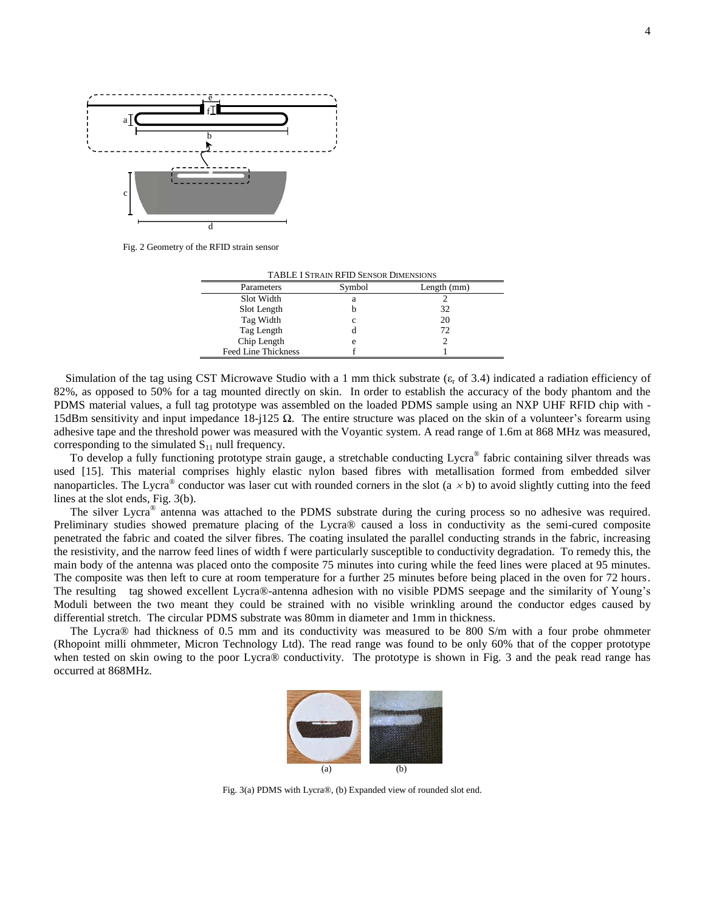

Fig. 2 Geometry of the RFID strain sensor

| <b>TABLE I STRAIN RFID SENSOR DIMENSIONS</b> |        |             |
|----------------------------------------------|--------|-------------|
| Parameters                                   | Symbol | Length (mm) |
| Slot Width                                   | а      |             |
| Slot Length                                  |        | 32          |
| Tag Width                                    |        | 20          |
| Tag Length                                   |        | 72          |
| Chip Length                                  | e      |             |
| <b>Feed Line Thickness</b>                   |        |             |

<span id="page-4-0"></span>Simulation of the tag using CST Microwave Studio with a 1 mm thick substrate  $(\varepsilon_r$  of 3.4) indicated a radiation efficiency of 82%, as opposed to 50% for a tag mounted directly on skin. In order to establish the accuracy of the body phantom and the PDMS material values, a full tag prototype was assembled on the loaded PDMS sample using an NXP UHF RFID chip with - 15dBm sensitivity and input impedance 18-j125  $\Omega$ . The entire structure was placed on the skin of a volunteer's forearm using adhesive tape and the threshold power was measured with the Voyantic system. A read range of 1.6m at 868 MHz was measured, corresponding to the simulated  $S_{11}$  null frequency.

To develop a fully functioning prototype strain gauge, a stretchable conducting Lycra® fabric containing silver threads was used [15]. This material comprises highly elastic nylon based fibres with metallisation formed from embedded silver nanoparticles. The Lycra<sup>®</sup> conductor was laser cut with rounded corners in the slot (a  $\times$  b) to avoid slightly cutting into the feed lines at the slot ends, Fig. 3(b).

The silver Lycra<sup>®</sup> antenna was attached to the PDMS substrate during the curing process so no adhesive was required. Preliminary studies showed premature placing of the Lycra® caused a loss in conductivity as the semi-cured composite penetrated the fabric and coated the silver fibres. The coating insulated the parallel conducting strands in the fabric, increasing the resistivity, and the narrow feed lines of width f were particularly susceptible to conductivity degradation. To remedy this, the main body of the antenna was placed onto the composite 75 minutes into curing while the feed lines were placed at 95 minutes. The composite was then left to cure at room temperature for a further 25 minutes before being placed in the oven for 72 hours. The resulting tag showed excellent Lycra®-antenna adhesion with no visible PDMS seepage and the similarity of Young's Moduli between the two meant they could be strained with no visible wrinkling around the conductor edges caused by differential stretch. The circular PDMS substrate was 80mm in diameter and 1mm in thickness.

The Lycra® had thickness of 0.5 mm and its conductivity was measured to be 800 S/m with a four probe ohmmeter (Rhopoint milli ohmmeter, Micron Technology Ltd). The read range was found to be only 60% that of the copper prototype when tested on skin owing to the poor Lycra® conductivity. The prototype is shown in Fig. 3 and the peak read range has occurred at 868MHz.



Fig. 3(a) PDMS with Lycra®, (b) Expanded view of rounded slot end.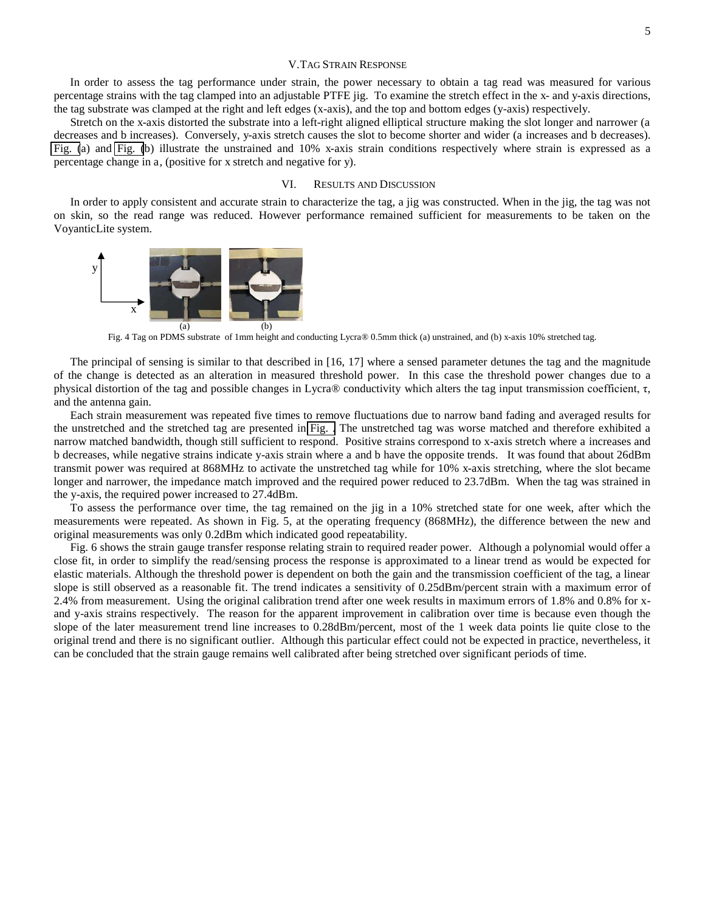### V.TAG STRAIN RESPONSE

 In order to assess the tag performance under strain, the power necessary to obtain a tag read was measured for various percentage strains with the tag clamped into an adjustable PTFE jig. To examine the stretch effect in the x- and y-axis directions, the tag substrate was clamped at the right and left edges (x-axis), and the top and bottom edges (y-axis) respectively.

Stretch on the x-axis distorted the substrate into a left-right aligned elliptical structure making the slot longer and narrower (a decreases and b increases). Conversely, y-axis stretch causes the slot to become shorter and wider (a increases and b decreases). [Fig. \(](#page-4-0)a) and [Fig. \(](#page-4-0)b) illustrate the unstrained and 10% x-axis strain conditions respectively where strain is expressed as a percentage change in a, (positive for x stretch and negative for y).

### VI. RESULTS AND DISCUSSION

In order to apply consistent and accurate strain to characterize the tag, a jig was constructed. When in the jig, the tag was not on skin, so the read range was reduced. However performance remained sufficient for measurements to be taken on the VoyanticLite system.

<span id="page-5-0"></span>

Fig. 4 Tag on PDMS substrate of 1mm height and conducting Lycra® 0.5mm thick (a) unstrained, and (b) x-axis 10% stretched tag.

The principal of sensing is similar to that described in [16, 17] where a sensed parameter detunes the tag and the magnitude of the change is detected as an alteration in measured threshold power. In this case the threshold power changes due to a physical distortion of the tag and possible changes in Lycra® conductivity which alters the tag input transmission coefficient,  $\tau$ , and the antenna gain.

Each strain measurement was repeated five times to remove fluctuations due to narrow band fading and averaged results for the unstretched and the stretched tag are presented in [Fig. .](#page-5-0) The unstretched tag was worse matched and therefore exhibited a narrow matched bandwidth, though still sufficient to respond. Positive strains correspond to x-axis stretch where a increases and b decreases, while negative strains indicate y-axis strain where a and b have the opposite trends. It was found that about 26dBm transmit power was required at 868MHz to activate the unstretched tag while for 10% x-axis stretching, where the slot became longer and narrower, the impedance match improved and the required power reduced to 23.7dBm. When the tag was strained in the y-axis, the required power increased to 27.4dBm.

To assess the performance over time, the tag remained on the jig in a 10% stretched state for one week, after which the measurements were repeated. As shown in Fig. 5, at the operating frequency (868MHz), the difference between the new and original measurements was only 0.2dBm which indicated good repeatability.

Fig. 6 shows the strain gauge transfer response relating strain to required reader power. Although a polynomial would offer a close fit, in order to simplify the read/sensing process the response is approximated to a linear trend as would be expected for elastic materials. Although the threshold power is dependent on both the gain and the transmission coefficient of the tag, a linear slope is still observed as a reasonable fit. The trend indicates a sensitivity of 0.25dBm/percent strain with a maximum error of 2.4% from measurement. Using the original calibration trend after one week results in maximum errors of 1.8% and 0.8% for xand y-axis strains respectively. The reason for the apparent improvement in calibration over time is because even though the slope of the later measurement trend line increases to 0.28dBm/percent, most of the 1 week data points lie quite close to the original trend and there is no significant outlier. Although this particular effect could not be expected in practice, nevertheless, it can be concluded that the strain gauge remains well calibrated after being stretched over significant periods of time.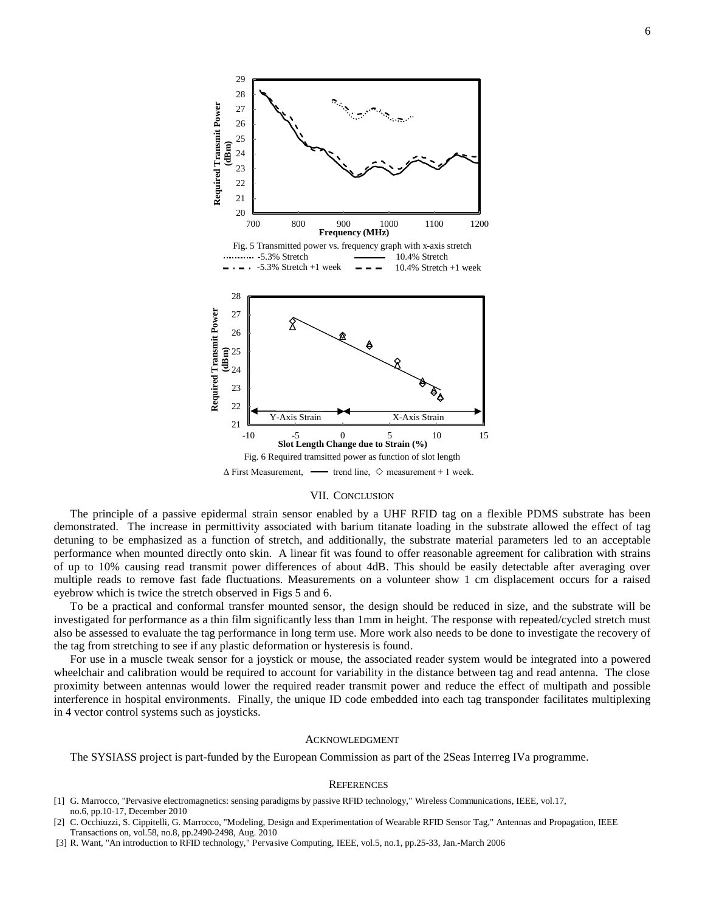

#### VII. CONCLUSION

The principle of a passive epidermal strain sensor enabled by a UHF RFID tag on a flexible PDMS substrate has been demonstrated. The increase in permittivity associated with barium titanate loading in the substrate allowed the effect of tag detuning to be emphasized as a function of stretch, and additionally, the substrate material parameters led to an acceptable performance when mounted directly onto skin. A linear fit was found to offer reasonable agreement for calibration with strains of up to 10% causing read transmit power differences of about 4dB. This should be easily detectable after averaging over multiple reads to remove fast fade fluctuations. Measurements on a volunteer show 1 cm displacement occurs for a raised eyebrow which is twice the stretch observed in Figs 5 and 6.

To be a practical and conformal transfer mounted sensor, the design should be reduced in size, and the substrate will be investigated for performance as a thin film significantly less than 1mm in height. The response with repeated/cycled stretch must also be assessed to evaluate the tag performance in long term use. More work also needs to be done to investigate the recovery of the tag from stretching to see if any plastic deformation or hysteresis is found.

For use in a muscle tweak sensor for a joystick or mouse, the associated reader system would be integrated into a powered wheelchair and calibration would be required to account for variability in the distance between tag and read antenna. The close proximity between antennas would lower the required reader transmit power and reduce the effect of multipath and possible interference in hospital environments. Finally, the unique ID code embedded into each tag transponder facilitates multiplexing in 4 vector control systems such as joysticks.

### ACKNOWLEDGMENT

The SYSIASS project is part-funded by the European Commission as part of the 2Seas Interreg IVa programme.

### **REFERENCES**

- [1] G. Marrocco, "Pervasive electromagnetics: sensing paradigms by passive RFID technology," Wireless Communications, IEEE, vol.17, no.6, pp.10-17, December 2010
- [2] C. Occhiuzzi, S. Cippitelli, G. Marrocco, "Modeling, Design and Experimentation of Wearable RFID Sensor Tag," Antennas and Propagation, IEEE Transactions on, vol.58, no.8, pp.2490-2498, Aug. 2010
- [3] R. Want, "An introduction to RFID technology," Pervasive Computing, IEEE, vol.5, no.1, pp.25-33, Jan.-March 2006